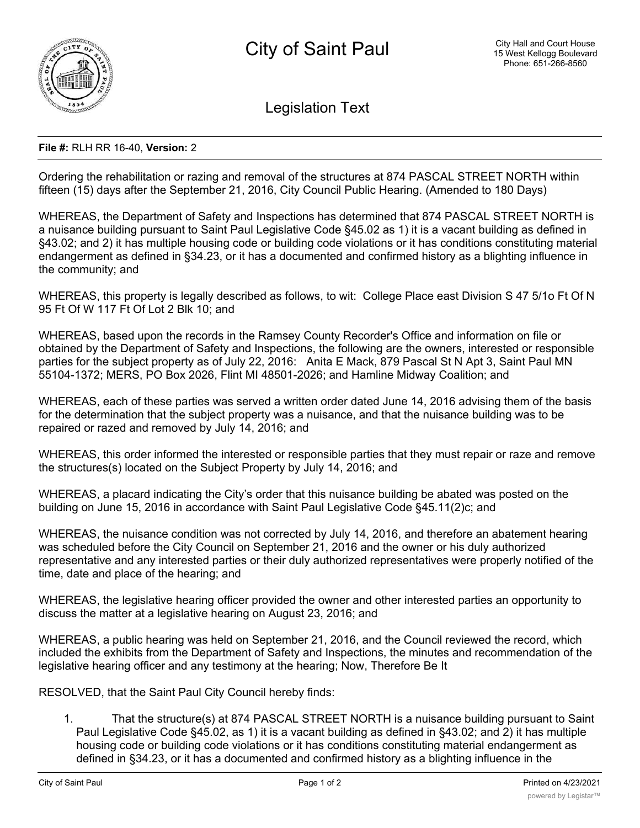

Legislation Text

## **File #:** RLH RR 16-40, **Version:** 2

Ordering the rehabilitation or razing and removal of the structures at 874 PASCAL STREET NORTH within fifteen (15) days after the September 21, 2016, City Council Public Hearing. (Amended to 180 Days)

WHEREAS, the Department of Safety and Inspections has determined that 874 PASCAL STREET NORTH is a nuisance building pursuant to Saint Paul Legislative Code §45.02 as 1) it is a vacant building as defined in §43.02; and 2) it has multiple housing code or building code violations or it has conditions constituting material endangerment as defined in §34.23, or it has a documented and confirmed history as a blighting influence in the community; and

WHEREAS, this property is legally described as follows, to wit: College Place east Division S 47 5/1o Ft Of N 95 Ft Of W 117 Ft Of Lot 2 Blk 10; and

WHEREAS, based upon the records in the Ramsey County Recorder's Office and information on file or obtained by the Department of Safety and Inspections, the following are the owners, interested or responsible parties for the subject property as of July 22, 2016: Anita E Mack, 879 Pascal St N Apt 3, Saint Paul MN 55104-1372; MERS, PO Box 2026, Flint MI 48501-2026; and Hamline Midway Coalition; and

WHEREAS, each of these parties was served a written order dated June 14, 2016 advising them of the basis for the determination that the subject property was a nuisance, and that the nuisance building was to be repaired or razed and removed by July 14, 2016; and

WHEREAS, this order informed the interested or responsible parties that they must repair or raze and remove the structures(s) located on the Subject Property by July 14, 2016; and

WHEREAS, a placard indicating the City's order that this nuisance building be abated was posted on the building on June 15, 2016 in accordance with Saint Paul Legislative Code §45.11(2)c; and

WHEREAS, the nuisance condition was not corrected by July 14, 2016, and therefore an abatement hearing was scheduled before the City Council on September 21, 2016 and the owner or his duly authorized representative and any interested parties or their duly authorized representatives were properly notified of the time, date and place of the hearing; and

WHEREAS, the legislative hearing officer provided the owner and other interested parties an opportunity to discuss the matter at a legislative hearing on August 23, 2016; and

WHEREAS, a public hearing was held on September 21, 2016, and the Council reviewed the record, which included the exhibits from the Department of Safety and Inspections, the minutes and recommendation of the legislative hearing officer and any testimony at the hearing; Now, Therefore Be It

RESOLVED, that the Saint Paul City Council hereby finds:

1. That the structure(s) at 874 PASCAL STREET NORTH is a nuisance building pursuant to Saint Paul Legislative Code §45.02, as 1) it is a vacant building as defined in §43.02; and 2) it has multiple housing code or building code violations or it has conditions constituting material endangerment as defined in §34.23, or it has a documented and confirmed history as a blighting influence in the